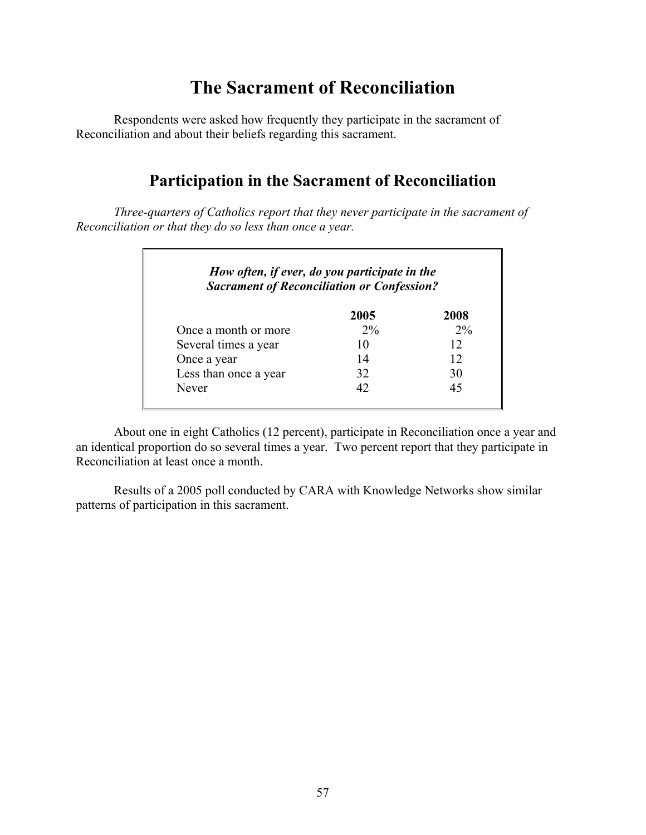# **The Sacrament of Reconciliation**

 Respondents were asked how frequently they participate in the sacrament of Reconciliation and about their beliefs regarding this sacrament.

## **Participation in the Sacrament of Reconciliation**

*Three-quarters of Catholics report that they never participate in the sacrament of Reconciliation or that they do so less than once a year.* 

| <b>Sacrament of Reconciliation or Confession?</b> |       |       |
|---------------------------------------------------|-------|-------|
|                                                   | 2005  | 2008  |
| Once a month or more                              | $2\%$ | $2\%$ |
| Several times a year                              | 10    | 12    |
| Once a year                                       | 14    | 12    |
| Less than once a year                             | 32    | 30    |
| Never                                             | 42    | 45    |

 About one in eight Catholics (12 percent), participate in Reconciliation once a year and an identical proportion do so several times a year. Two percent report that they participate in Reconciliation at least once a month.

 Results of a 2005 poll conducted by CARA with Knowledge Networks show similar patterns of participation in this sacrament.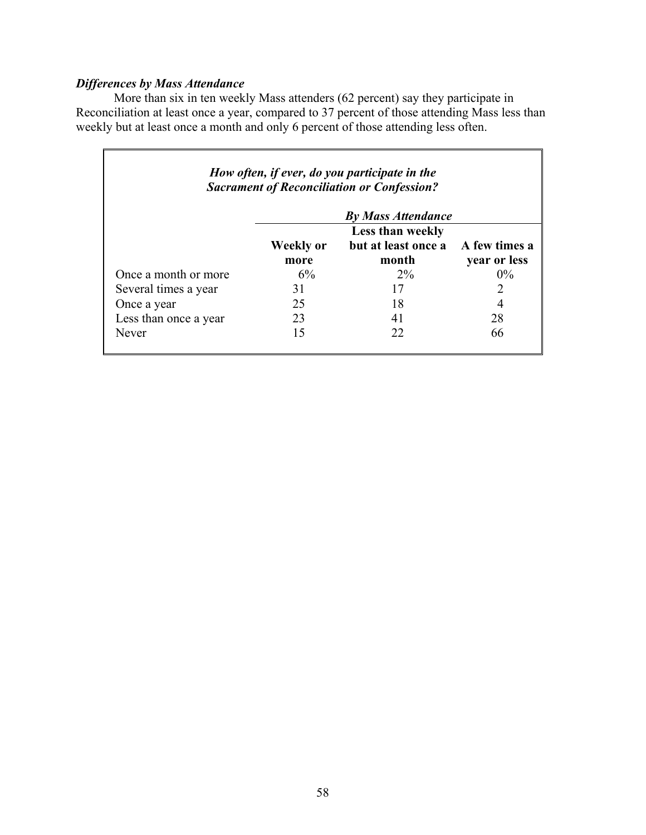## *Differences by Mass Attendance*

More than six in ten weekly Mass attenders (62 percent) say they participate in Reconciliation at least once a year, compared to 37 percent of those attending Mass less than weekly but at least once a month and only 6 percent of those attending less often.

| How often, if ever, do you participate in the<br><b>Sacrament of Reconciliation or Confession?</b> |                  |                     |               |
|----------------------------------------------------------------------------------------------------|------------------|---------------------|---------------|
| <b>By Mass Attendance</b>                                                                          |                  |                     |               |
|                                                                                                    | Less than weekly |                     |               |
|                                                                                                    | <b>Weekly or</b> | but at least once a | A few times a |
|                                                                                                    | more             | month               | year or less  |
| Once a month or more                                                                               | $6\%$            | $2\%$               | $0\%$         |
| Several times a year                                                                               | 31               | 17                  | 2             |
| Once a year                                                                                        | 25               | 18                  | 4             |
| Less than once a year                                                                              | 23               |                     | 28            |
| Never                                                                                              | 15               | 22                  | 66            |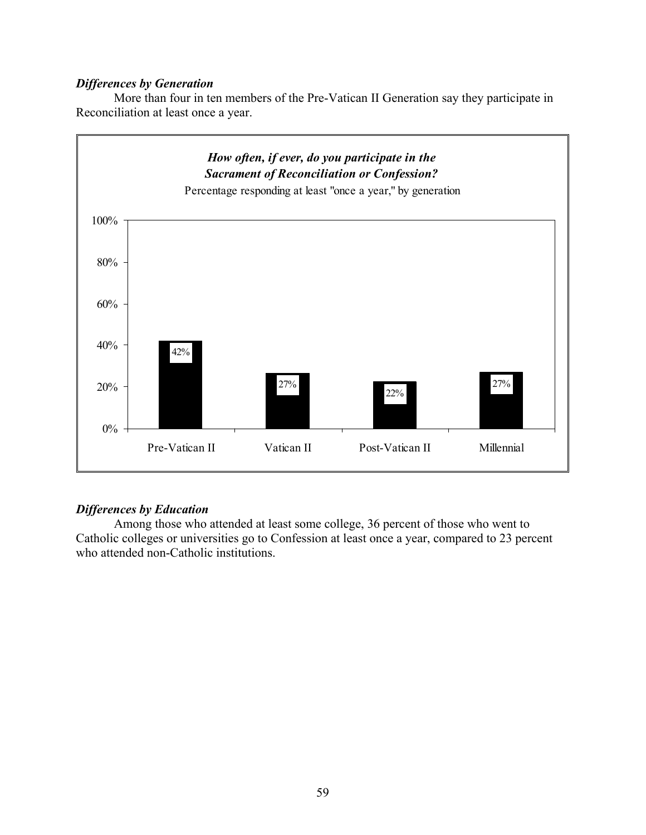### *Differences by Generation*

 More than four in ten members of the Pre-Vatican II Generation say they participate in Reconciliation at least once a year.



## *Differences by Education*

 Among those who attended at least some college, 36 percent of those who went to Catholic colleges or universities go to Confession at least once a year, compared to 23 percent who attended non-Catholic institutions.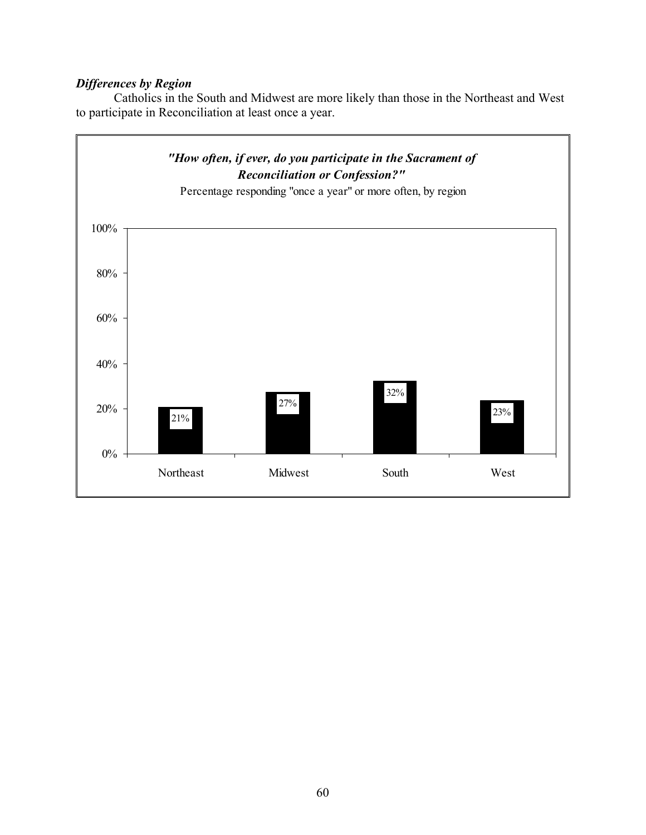## *Differences by Region*

 Catholics in the South and Midwest are more likely than those in the Northeast and West to participate in Reconciliation at least once a year.

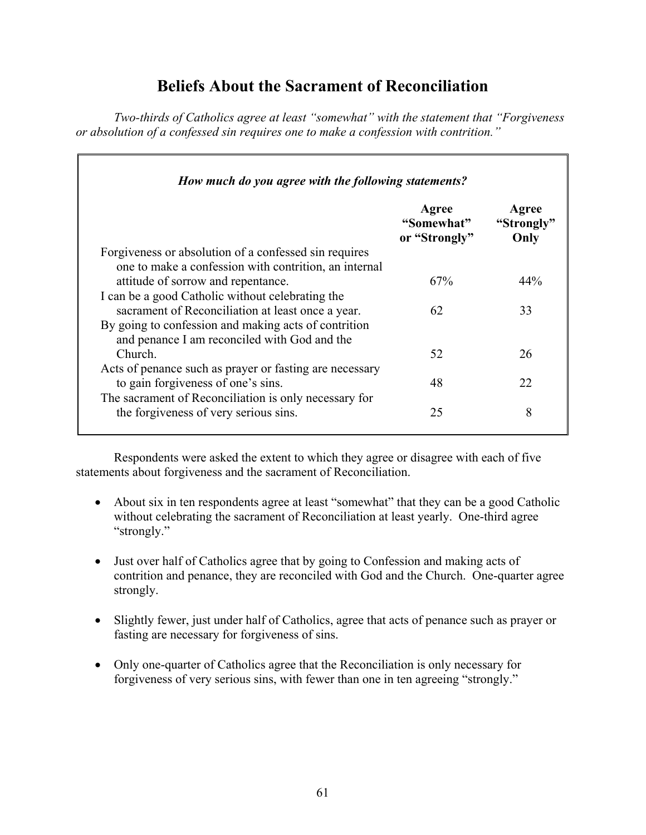## **Beliefs About the Sacrament of Reconciliation**

*Two-thirds of Catholics agree at least "somewhat" with the statement that "Forgiveness or absolution of a confessed sin requires one to make a confession with contrition."* 

| How much do you agree with the following statements?    |                                      |                             |
|---------------------------------------------------------|--------------------------------------|-----------------------------|
|                                                         | Agree<br>"Somewhat"<br>or "Strongly" | Agree<br>"Strongly"<br>Only |
| Forgiveness or absolution of a confessed sin requires   |                                      |                             |
| one to make a confession with contrition, an internal   |                                      |                             |
| attitude of sorrow and repentance.                      | 67%                                  | 44%                         |
| I can be a good Catholic without celebrating the        |                                      |                             |
| sacrament of Reconciliation at least once a year.       | 62                                   | 33                          |
| By going to confession and making acts of contrition    |                                      |                             |
| and penance I am reconciled with God and the            |                                      |                             |
| Church.                                                 | 52                                   | 26                          |
| Acts of penance such as prayer or fasting are necessary |                                      |                             |
| to gain for giveness of one's sins.                     | 48                                   | 22                          |
| The sacrament of Reconciliation is only necessary for   |                                      |                             |
| the forgiveness of very serious sins.                   | 25                                   | 8                           |

 Respondents were asked the extent to which they agree or disagree with each of five statements about forgiveness and the sacrament of Reconciliation.

- About six in ten respondents agree at least "somewhat" that they can be a good Catholic without celebrating the sacrament of Reconciliation at least yearly. One-third agree "strongly."
- Just over half of Catholics agree that by going to Confession and making acts of contrition and penance, they are reconciled with God and the Church. One-quarter agree strongly.
- Slightly fewer, just under half of Catholics, agree that acts of penance such as prayer or fasting are necessary for forgiveness of sins.
- Only one-quarter of Catholics agree that the Reconciliation is only necessary for forgiveness of very serious sins, with fewer than one in ten agreeing "strongly."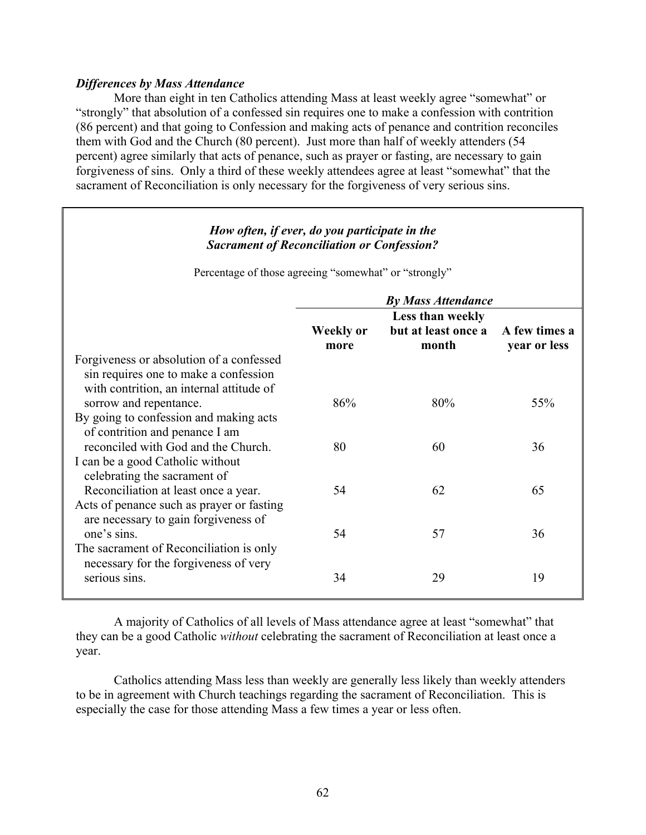#### *Differences by Mass Attendance*

More than eight in ten Catholics attending Mass at least weekly agree "somewhat" or "strongly" that absolution of a confessed sin requires one to make a confession with contrition (86 percent) and that going to Confession and making acts of penance and contrition reconciles them with God and the Church (80 percent). Just more than half of weekly attenders (54 percent) agree similarly that acts of penance, such as prayer or fasting, are necessary to gain forgiveness of sins. Only a third of these weekly attendees agree at least "somewhat" that the sacrament of Reconciliation is only necessary for the forgiveness of very serious sins.

### *How often, if ever, do you participate in the Sacrament of Reconciliation or Confession?*

Percentage of those agreeing "somewhat" or "strongly"

|                                                                                                                               | <b>By Mass Attendance</b> |                                                                |              |
|-------------------------------------------------------------------------------------------------------------------------------|---------------------------|----------------------------------------------------------------|--------------|
|                                                                                                                               | Weekly or<br>more         | Less than weekly<br>but at least once a A few times a<br>month | year or less |
| Forgiveness or absolution of a confessed<br>sin requires one to make a confession<br>with contrition, an internal attitude of |                           |                                                                |              |
| sorrow and repentance.<br>By going to confession and making acts<br>of contrition and penance I am                            | 86%                       | 80%                                                            | 55%          |
| reconciled with God and the Church.<br>I can be a good Catholic without<br>celebrating the sacrament of                       | 80                        | 60                                                             | 36           |
| Reconciliation at least once a year.<br>Acts of penance such as prayer or fasting<br>are necessary to gain for giveness of    | 54                        | 62                                                             | 65           |
| one's sins.<br>The sacrament of Reconciliation is only<br>necessary for the forgiveness of very                               | 54                        | 57                                                             | 36           |
| serious sins.                                                                                                                 | 34                        | 29                                                             | 19           |

 A majority of Catholics of all levels of Mass attendance agree at least "somewhat" that they can be a good Catholic *without* celebrating the sacrament of Reconciliation at least once a year.

 Catholics attending Mass less than weekly are generally less likely than weekly attenders to be in agreement with Church teachings regarding the sacrament of Reconciliation. This is especially the case for those attending Mass a few times a year or less often.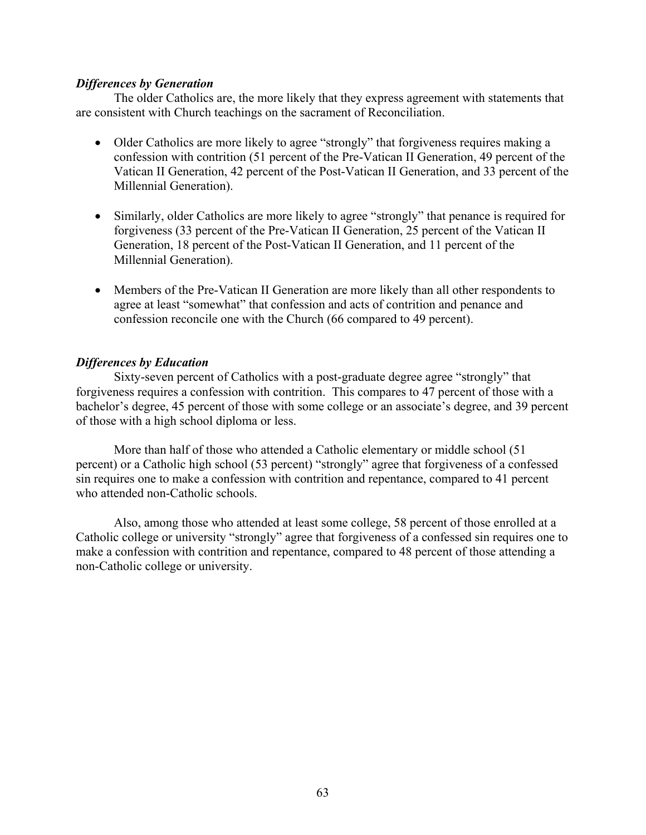### *Differences by Generation*

 The older Catholics are, the more likely that they express agreement with statements that are consistent with Church teachings on the sacrament of Reconciliation.

- Older Catholics are more likely to agree "strongly" that forgiveness requires making a confession with contrition (51 percent of the Pre-Vatican II Generation, 49 percent of the Vatican II Generation, 42 percent of the Post-Vatican II Generation, and 33 percent of the Millennial Generation).
- Similarly, older Catholics are more likely to agree "strongly" that penance is required for forgiveness (33 percent of the Pre-Vatican II Generation, 25 percent of the Vatican II Generation, 18 percent of the Post-Vatican II Generation, and 11 percent of the Millennial Generation).
- Members of the Pre-Vatican II Generation are more likely than all other respondents to agree at least "somewhat" that confession and acts of contrition and penance and confession reconcile one with the Church (66 compared to 49 percent).

### *Differences by Education*

 Sixty-seven percent of Catholics with a post-graduate degree agree "strongly" that forgiveness requires a confession with contrition. This compares to 47 percent of those with a bachelor's degree, 45 percent of those with some college or an associate's degree, and 39 percent of those with a high school diploma or less.

 More than half of those who attended a Catholic elementary or middle school (51 percent) or a Catholic high school (53 percent) "strongly" agree that forgiveness of a confessed sin requires one to make a confession with contrition and repentance, compared to 41 percent who attended non-Catholic schools.

Also, among those who attended at least some college, 58 percent of those enrolled at a Catholic college or university "strongly" agree that forgiveness of a confessed sin requires one to make a confession with contrition and repentance, compared to 48 percent of those attending a non-Catholic college or university.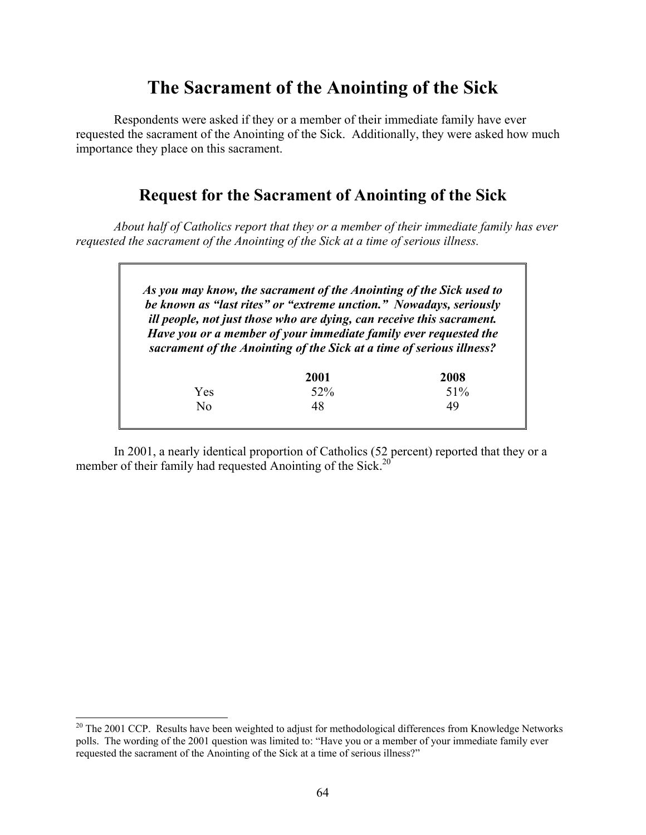# **The Sacrament of the Anointing of the Sick**

 Respondents were asked if they or a member of their immediate family have ever requested the sacrament of the Anointing of the Sick. Additionally, they were asked how much importance they place on this sacrament.

# **Request for the Sacrament of Anointing of the Sick**

*About half of Catholics report that they or a member of their immediate family has ever requested the sacrament of the Anointing of the Sick at a time of serious illness.* 

> *As you may know, the sacrament of the Anointing of the Sick used to be known as "last rites" or "extreme unction." Nowadays, seriously ill people, not just those who are dying, can receive this sacrament. Have you or a member of your immediate family ever requested the sacrament of the Anointing of the Sick at a time of serious illness?*

|     | 2001 | 2008 |
|-----|------|------|
| Yes | 52%  | 51%  |
| No  | 48   | 49   |
|     |      |      |

 In 2001, a nearly identical proportion of Catholics (52 percent) reported that they or a member of their family had requested Anointing of the Sick.<sup>20</sup>

l

 $20$ <sup>20</sup> The 2001 CCP. Results have been weighted to adjust for methodological differences from Knowledge Networks polls. The wording of the 2001 question was limited to: "Have you or a member of your immediate family ever requested the sacrament of the Anointing of the Sick at a time of serious illness?"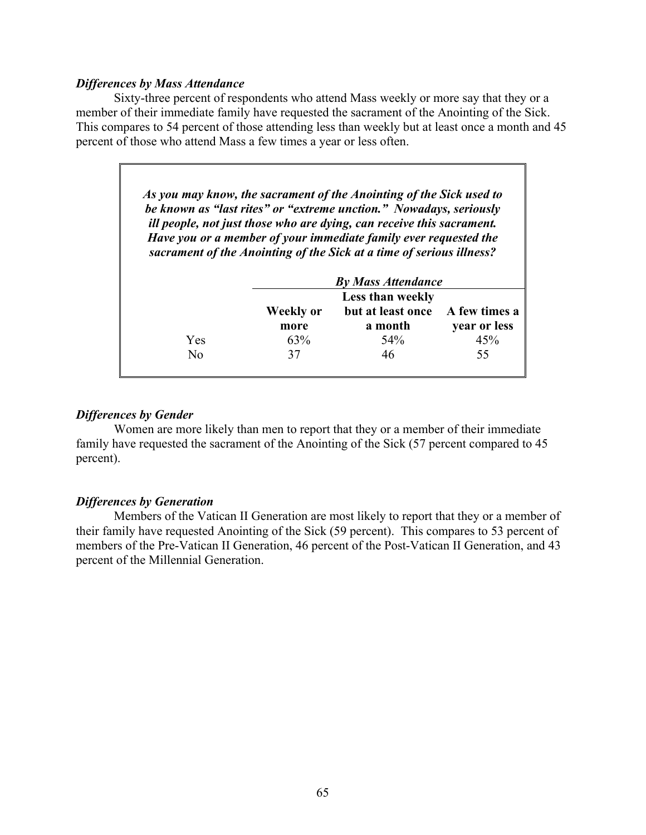#### *Differences by Mass Attendance*

 Sixty-three percent of respondents who attend Mass weekly or more say that they or a member of their immediate family have requested the sacrament of the Anointing of the Sick. This compares to 54 percent of those attending less than weekly but at least once a month and 45 percent of those who attend Mass a few times a year or less often.

| As you may know, the sacrament of the Anointing of the Sick used to   |
|-----------------------------------------------------------------------|
| be known as "last rites" or "extreme unction." Nowadays, seriously    |
| ill people, not just those who are dying, can receive this sacrament. |
| Have you or a member of your immediate family ever requested the      |
| sacrament of the Anointing of the Sick at a time of serious illness?  |

|     | <b>By Mass Attendance</b><br>Less than weekly |                   |               |
|-----|-----------------------------------------------|-------------------|---------------|
|     |                                               |                   |               |
|     | Weekly or                                     | but at least once | A few times a |
|     | more                                          | a month           | year or less  |
| Yes | 63%                                           | 54%               | 45%           |
| No  | 37                                            | 46                | 55            |
|     |                                               |                   |               |

### *Differences by Gender*

 Women are more likely than men to report that they or a member of their immediate family have requested the sacrament of the Anointing of the Sick (57 percent compared to 45 percent).

### *Differences by Generation*

 Members of the Vatican II Generation are most likely to report that they or a member of their family have requested Anointing of the Sick (59 percent). This compares to 53 percent of members of the Pre-Vatican II Generation, 46 percent of the Post-Vatican II Generation, and 43 percent of the Millennial Generation.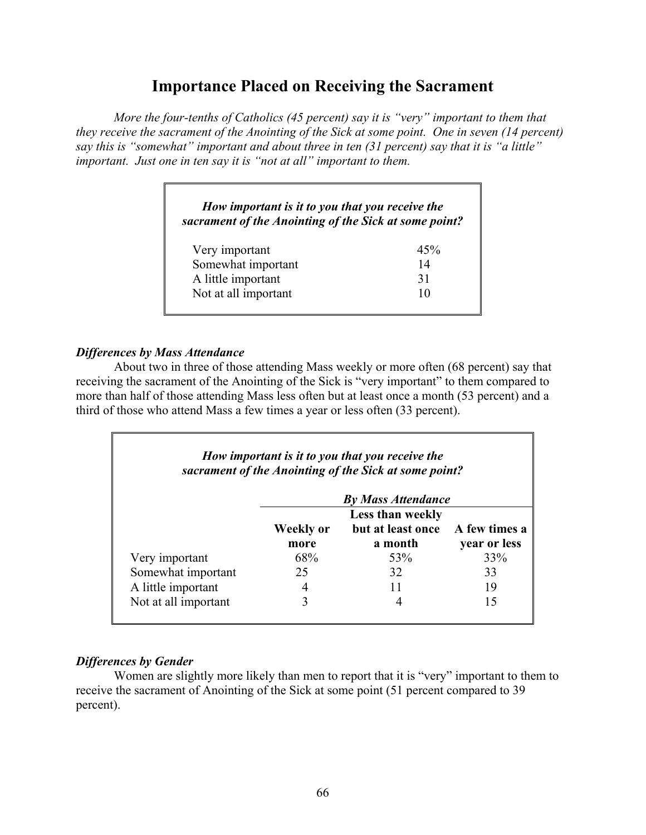## **Importance Placed on Receiving the Sacrament**

*More the four-tenths of Catholics (45 percent) say it is "very" important to them that they receive the sacrament of the Anointing of the Sick at some point. One in seven (14 percent) say this is "somewhat" important and about three in ten (31 percent) say that it is "a little" important. Just one in ten say it is "not at all" important to them.* 

## *How important is it to you that you receive the sacrament of the Anointing of the Sick at some point?*

| Very important       | 45% |
|----------------------|-----|
| Somewhat important   | 14  |
| A little important   | 31  |
| Not at all important | 10  |

### *Differences by Mass Attendance*

 About two in three of those attending Mass weekly or more often (68 percent) say that receiving the sacrament of the Anointing of the Sick is "very important" to them compared to more than half of those attending Mass less often but at least once a month (53 percent) and a third of those who attend Mass a few times a year or less often (33 percent).

| How important is it to you that you receive the<br>sacrament of the Anointing of the Sick at some point? |                         |                   |               |
|----------------------------------------------------------------------------------------------------------|-------------------------|-------------------|---------------|
| <b>By Mass Attendance</b>                                                                                |                         |                   |               |
|                                                                                                          | <b>Less than weekly</b> |                   |               |
|                                                                                                          | Weekly or               | but at least once | A few times a |
|                                                                                                          | more                    | a month           | year or less  |
| Very important                                                                                           | 68%                     | 53%               | 33%           |
| Somewhat important                                                                                       | 25                      | 32                | 33            |
| A little important                                                                                       |                         |                   | 19            |
| Not at all important                                                                                     |                         |                   | 15            |

### *Differences by Gender*

 Women are slightly more likely than men to report that it is "very" important to them to receive the sacrament of Anointing of the Sick at some point (51 percent compared to 39 percent).